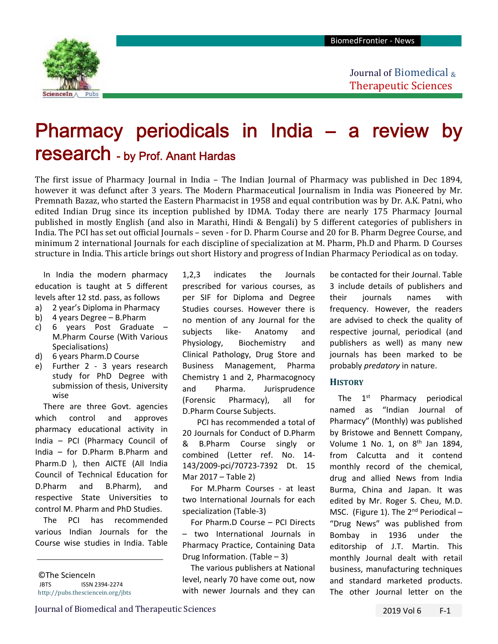

Journal of Biomedical & Therapeutic Sciences

# Pharmacy periodicals in India – a review by research - by Prof. Anant Hardas

The first issue of Pharmacy Journal in India – The Indian Journal of Pharmacy was published in Dec 1894, however it was defunct after 3 years. The Modern Pharmaceutical Journalism in India was Pioneered by Mr. Premnath Bazaz, who started the Eastern Pharmacist in 1958 and equal contribution was by Dr. A.K. Patni, who edited Indian Drug since its inception published by IDMA. Today there are nearly 175 Pharmacy Journal published in mostly English (and also in Marathi, Hindi & Bengali) by 5 different categories of publishers in India. The PCI has set out official Journals – seven - for D. Pharm Course and 20 for B. Pharm Degree Course, and minimum 2 international Journals for each discipline of specialization at M. Pharm, Ph.D and Pharm. D Courses structure in India. This article brings out short History and progress of Indian Pharmacy Periodical as on today.

In India the modern pharmacy education is taught at 5 different levels after 12 std. pass, as follows

- a) 2 year's Diploma in Pharmacy
- b) 4 years Degree B.Pharm
- c) 6 years Post Graduate M.Pharm Course (With Various Specialisations)
- d) 6 years Pharm.D Course
- e) Further 2 3 years research study for PhD Degree with submission of thesis, University wise

There are three Govt. agencies which control and approves pharmacy educational activity in India – PCI (Pharmacy Council of India – for D.Pharm B.Pharm and Pharm.D ), then AICTE (All India Council of Technical Education for D.Pharm and B.Pharm), and respective State Universities to control M. Pharm and PhD Studies.

The PCI has recommended various Indian Journals for the Course wise studies in India. Table

1,2,3 indicates the Journals prescribed for various courses, as per SIF for Diploma and Degree Studies courses. However there is no mention of any Journal for the subjects like- Anatomy and Physiology, Biochemistry and Clinical Pathology, Drug Store and Business Management, Pharma Chemistry 1 and 2, Pharmacognocy and Pharma. Jurisprudence (Forensic Pharmacy), all for D.Pharm Course Subjects.

PCI has recommended a total of 20 Journals for Conduct of D.Pharm & B.Pharm Course singly or combined (Letter ref. No. 14‐ 143/2009‐pci/70723‐7392 Dt. 15 Mar 2017 – Table 2)

For M.Pharm Courses - at least two International Journals for each specialization (Table‐3)

For Pharm.D Course – PCI Directs – two International Journals in Pharmacy Practice, Containing Data Drug Information. (Table – 3)

The various publishers at National level, nearly 70 have come out, now with newer Journals and they can

be contacted for their Journal. Table 3 include details of publishers and their journals names with frequency. However, the readers are advised to check the quality of respective journal, periodical (and publishers as well) as many new journals has been marked to be probably *predatory* in nature.

### **HISTORY**

The  $1<sup>st</sup>$  Pharmacy periodical named as "Indian Journal of Pharmacy" (Monthly) was published by Bristowe and Bennett Company, Volume 1 No. 1, on  $8<sup>th</sup>$  Jan 1894. from Calcutta and it contend monthly record of the chemical, drug and allied News from India Burma, China and Japan. It was edited by Mr. Roger S. Cheu, M.D. MSC. (Figure 1). The  $2^{nd}$  Periodical – "Drug News" was published from Bombay in 1936 under the editorship of J.T. Martin. This monthly Journal dealt with retail business, manufacturing techniques and standard marketed products. The other Journal letter on the

<sup>©</sup>The ScienceIn JBTS ISSN 2394‐2274 http://pubs.thesciencein.org/jbts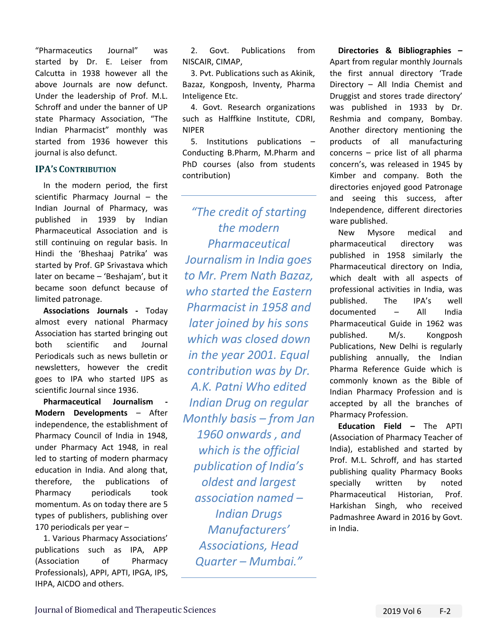"Pharmaceutics Journal" was started by Dr. E. Leiser from Calcutta in 1938 however all the above Journals are now defunct. Under the leadership of Prof. M.L. Schroff and under the banner of UP state Pharmacy Association, "The Indian Pharmacist" monthly was started from 1936 however this journal is also defunct.

## **IPA'S CONTRIBUTION**

In the modern period, the first scientific Pharmacy Journal – the Indian Journal of Pharmacy, was published in 1939 by Indian Pharmaceutical Association and is still continuing on regular basis. In Hindi the 'Bheshaaj Patrika' was started by Prof. GP Srivastava which later on became – 'Beshajam', but it became soon defunct because of limited patronage.

**Associations Journals ‐**  Today almost every national Pharmacy Association has started bringing out both scientific and Journal Periodicals such as news bulletin or newsletters, however the credit goes to IPA who started IJPS as scientific Journal since 1936.

**Pharmaceutical Journalism Modern Developments** – After independence, the establishment of Pharmacy Council of India in 1948, under Pharmacy Act 1948, in real led to starting of modern pharmacy education in India. And along that, therefore, the publications of Pharmacy periodicals took momentum. As on today there are 5 types of publishers, publishing over 170 periodicals per year –

1. Various Pharmacy Associations' publications such as IPA, APP (Association of Pharmacy Professionals), APPI, APTI, IPGA, IPS, IHPA, AICDO and others.

2. Govt. Publications from NISCAIR, CIMAP,

3. Pvt. Publications such as Akinik, Bazaz, Kongposh, Inventy, Pharma Inteligence Etc.

4. Govt. Research organizations such as Halffkine Institute, CDRI, NIPER

5. Institutions publications – Conducting B.Pharm, M.Pharm and PhD courses (also from students contribution)

*"The credit of starting the modern Pharmaceutical Journalism in India goes to Mr. Prem Nath Bazaz, who started the Eastern Pharmacist in 1958 and later joined by his sons which was closed down in the year 2001. Equal contribution was by Dr. A.K. Patni Who edited Indian Drug on regular Monthly basis – from Jan 1960 onwards , and which is the official publication of India's oldest and largest association named – Indian Drugs Manufacturers' Associations, Head Quarter – Mumbai."* 

**Directories & Bibliographies –** Apart from regular monthly Journals the first annual directory 'Trade Directory – All India Chemist and Druggist and stores trade directory' was published in 1933 by Dr. Reshmia and company, Bombay. Another directory mentioning the products of all manufacturing  $concerns - price$  list of all  $pharma$ concern's, was released in 1945 by Kimber and company. Both the directories enjoyed good Patronage and seeing this success, after Independence, different directories ware published.

New Mysore medical and pharmaceutical directory was published in 1958 similarly the Pharmaceutical directory on India, which dealt with all aspects of professional activities in India, was published. The IPA's well documented – All India Pharmaceutical Guide in 1962 was published. M/s. Kongposh Publications, New Delhi is regularly publishing annually, the Indian Pharma Reference Guide which is commonly known as the Bible of Indian Pharmacy Profession and is accepted by all the branches of Pharmacy Profession.

**Education Field –** The APTI (Association of Pharmacy Teacher of India), established and started by Prof. M.L. Schroff, and has started publishing quality Pharmacy Books specially written by noted Pharmaceutical Historian, Prof. Harkishan Singh, who received Padmashree Award in 2016 by Govt. in India.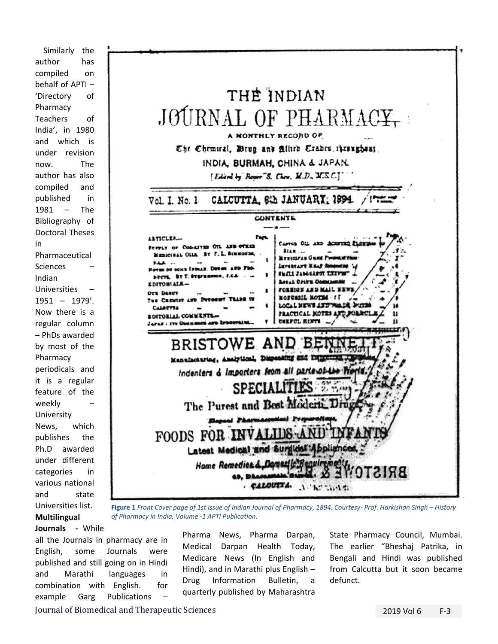Similarly the author has compiled on behalf of APTI – 'Directory of Pharmacy Teachers of India', in 1980 and which is under revision now. The author has also compiled and published in 1981 – The Bibliography of Doctoral Theses in Pharmaceutical Sciences – Indian Universities – 1951 – 1979'. Now there is a regular column – PhDs awarded by most of the Pharmacy periodicals and it is a regular feature of the weekly University News, which publishes the Ph.D awarded under different categories in various national and state Universities list. **Multilingual** 



**Figure 1** *Front Cover page of 1st issue of Indian Journal of Pharmacy, 1894. Courtesy‐ Prof. Harkishan Singh – History of Pharmacy in India, Volume ‐1 APTI Publication.* 

**Journals ‐** While all the Journals in pharmacy are in English, some Journals were published and still going on in Hindi and Marathi languages in combination with English. for example Garg Publications

Pharma News, Pharma Darpan, Medical Darpan Health Today, Medicare News (In English and Hindi), and in Marathi plus English – Drug Information Bulletin, a quarterly published by Maharashtra State Pharmacy Council, Mumbai. The earlier "Bheshaj Patrika, in Bengali and Hindi was published from Calcutta but it soon became defunct.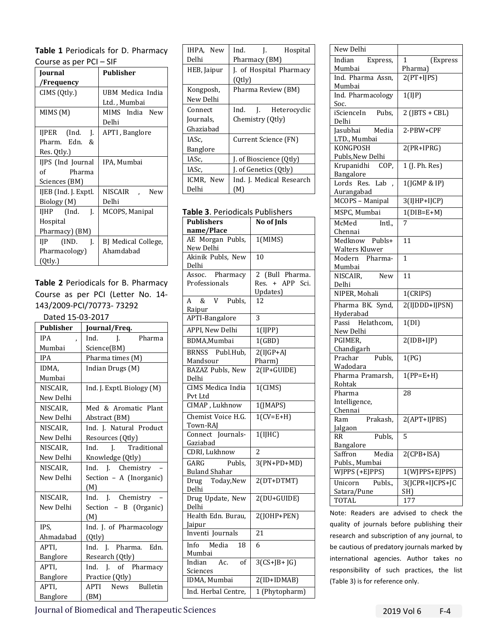| Table 1 Periodicals for D. Pharmacy |
|-------------------------------------|
| Course as per $PCI - SIF$           |

| COUTSC US PCT T CT   |                     |  |  |
|----------------------|---------------------|--|--|
| Journal              | <b>Publisher</b>    |  |  |
| /Frequency           |                     |  |  |
| CIMS (Qtly.)         | UBM Medica India    |  |  |
|                      | Ltd. , Mumbai       |  |  |
| MIMS (M)             | MIMS India New      |  |  |
|                      | Delhi               |  |  |
| IJPER (Ind.<br>J.    | APTI, Banglore      |  |  |
| Pharm. Edn.<br>&     |                     |  |  |
| Res. Qtly.)          |                     |  |  |
| IJPS (Ind Journal    | IPA, Mumbai         |  |  |
| of<br>Pharma         |                     |  |  |
| Sciences (BM)        |                     |  |  |
| IJEB (Ind. J. Exptl. | NISCAIR<br>New      |  |  |
| Biology (M)          | Delhi               |  |  |
|                      | MCOPS, Manipal      |  |  |
| Hospital             |                     |  |  |
| Pharmacy) (BM)       |                     |  |  |
| $IIP$ (IND.<br>J.    | BJ Medical College, |  |  |
| Pharmacology)        | Ahamdabad           |  |  |
| (Qtly.)              |                     |  |  |

**Table 2** Periodicals for B. Pharmacy Course as per PCI (Letter No. 14‐ 143/2009‐PCI/70773‐ 73292

| Dated 15-03-2017 |                            |  |  |
|------------------|----------------------------|--|--|
| <b>Publisher</b> | Journal/Freq.              |  |  |
| <b>IPA</b><br>J  | Ind.<br>Pharma<br>I.       |  |  |
| Mumbai           | Science(BM)                |  |  |
| <b>IPA</b>       | Pharma times (M)           |  |  |
| IDMA.            | Indian Drugs (M)           |  |  |
| Mumbai           |                            |  |  |
| NISCAIR,         | Ind. J. Exptl. Biology (M) |  |  |
| New Delhi        |                            |  |  |
| NISCAIR,         | Med & Aromatic Plant       |  |  |
| New Delhi        | Abstract (BM)              |  |  |
| NISCAIR,         | Ind. J. Natural Product    |  |  |
| New Delhi        | Resources (Qtly)           |  |  |
| NISCAIR,         | I. Traditional<br>Ind.     |  |  |
| New Delhi        | Knowledge (Qtly)           |  |  |
| NISCAIR,         | Ind. J. Chemistry          |  |  |
| New Delhi        | Section - A (Inorganic)    |  |  |
|                  | (M)                        |  |  |
| NISCAIR,         | Ind. J. Chemistry          |  |  |
| New Delhi        | Section - B (Organic)      |  |  |
|                  | (M)                        |  |  |
| IPS,             | Ind. J. of Pharmacology    |  |  |
| Ahmadabad        | (Qtly)                     |  |  |
| APTI,            | Ind. J. Pharma. Edn.       |  |  |
| Banglore         | Research (Qtly)            |  |  |
| APTI,            | J. of Pharmacy<br>Ind.     |  |  |
| Banglore         | Practice (Qtly)            |  |  |
| APTI,            | APTI News Bulletin         |  |  |
| Banglore         | (BM)                       |  |  |

| IHPA, New   | Ind.<br>J. Hospital      |  |  |  |
|-------------|--------------------------|--|--|--|
| Delhi       | Pharmacy (BM)            |  |  |  |
| HEB, Jaipur | J. of Hospital Pharmacy  |  |  |  |
|             | $(0$ tly $)$             |  |  |  |
| Kongposh,   | Pharma Review (BM)       |  |  |  |
| New Delhi   |                          |  |  |  |
| Connect     | Ind. J. Heterocyclic     |  |  |  |
| Journals,   | Chemistry (Qtly)         |  |  |  |
| Ghaziabad   |                          |  |  |  |
| IASc.       | Current Science (FN)     |  |  |  |
| Banglore    |                          |  |  |  |
| IASc.       | J. of Bioscience (Qtly)  |  |  |  |
| IASc.       | J. of Genetics (Qtly)    |  |  |  |
| ICMR, New   | Ind. J. Medical Research |  |  |  |
| Delhi       | (M)                      |  |  |  |

**Table 3**. Periodicals Publishers

| <b>Publishers</b>                            | No of Jnls         |  |  |
|----------------------------------------------|--------------------|--|--|
| name/Place                                   |                    |  |  |
| AE Morgan Publs,<br>New Delhi                | 1(MIMS)            |  |  |
| Akinik Publs, New<br>Delhi                   | 10                 |  |  |
| Assoc. Pharmacy                              | 2 (Bull Pharma.    |  |  |
| Professionals                                | + APP Sci.<br>Res. |  |  |
|                                              | Updates)           |  |  |
| A &<br>Publs,<br>V<br>Raipur                 | 12                 |  |  |
| APTI-Bangalore                               | 3                  |  |  |
| APPI, New Delhi                              | 1(IIPP)            |  |  |
| BDMA,Mumbai                                  | 1(GBD)             |  |  |
| BRNSS Publ.Hub,                              | $2(IJGP+AJ)$       |  |  |
| Mandsour                                     | Pharm)             |  |  |
| <b>BAZAZ</b> Publs, New                      | $2(IP+GUIDE)$      |  |  |
| Delhi                                        |                    |  |  |
| <b>CIMS</b> Medica India                     | $1$ (CIMS)         |  |  |
| Pvt Ltd                                      |                    |  |  |
| CIMAP, Lukhnow                               | 1(JMAPS)           |  |  |
| Chemist Voice H.G.                           | $1(CV=E+H)$        |  |  |
| Town-RAJ                                     |                    |  |  |
| Connect Journals-                            | 1(IJHC)            |  |  |
| Gaziabad                                     |                    |  |  |
| <b>CDRI</b> , Lukhnow                        | $\overline{2}$     |  |  |
| GARG<br>Publs,                               | $3(PN+PD+MD)$      |  |  |
| <b>Buland Shahar</b>                         |                    |  |  |
| Drug Today, New<br>Delhi                     | $2(DT+DTMT)$       |  |  |
| Drug Update, New<br>Delhi                    | 2(DU+GUIDE)        |  |  |
| Health Edn. Burau,                           | 2(JOHP+PEN)        |  |  |
| Jaipur                                       |                    |  |  |
| Inventi Journals                             | 21                 |  |  |
| Info Media<br>18                             | 6                  |  |  |
| Mumbai                                       |                    |  |  |
| $\overline{AC}$ .<br><sub>of</sub><br>Indian | $3(CS+JB+JG)$      |  |  |
| Sciences                                     |                    |  |  |
| IDMA, Mumbai                                 | 2(ID+IDMAB)        |  |  |
| Ind. Herbal Centre,                          | 1 (Phytopharm)     |  |  |
|                                              |                    |  |  |

| New Delhi                      |                  |
|--------------------------------|------------------|
| Indian Express,                | (Express<br>1    |
| Mumbai                         | Pharma)          |
| Ind. Pharma Assn,              | $2(PT+IIPS)$     |
| Mumbai                         |                  |
| Ind. Pharmacology              | 1(IJP)           |
| Soc.                           |                  |
| iScienceIn Pubs,               | $2$ (JBTS + CBL) |
| Delhi                          |                  |
| Jasubhai<br>Media              | 2-PBW+CPF        |
| LTD., Mumbai                   |                  |
| <b>KONGPOSH</b>                | 2(PR+IPRG)       |
| Publs, New Delhi               |                  |
| Krupanidhi COP,                | 1 (J. Ph. Res)   |
| Bangalore<br>Lab               |                  |
| Lords Res.                     | 1(JGMP & IP)     |
| Aurangabad<br>MCOPS - Manipal  | $3(IJHP+IJCP)$   |
|                                |                  |
| MSPC, Mumbai                   | $1(DIB=E+M)$     |
| McMed<br>Intl.,                | 7                |
| Chennai                        |                  |
| Medknow Publs+                 | 11               |
| Walters Kluwer                 |                  |
| Modern Pharma-                 | 1                |
| Mumbai                         |                  |
| <b>New</b><br>NISCAIR,         | 11               |
| Delhi                          |                  |
| NIPER, Mohali                  | 1(CRIPS)         |
| Pharma BK. Synd,               | 2(IJDDD+IJPSN)   |
| Hyderabad                      |                  |
| Passi Helathcom,               | 1(DI)            |
| New Delhi                      |                  |
| PGIMER,                        | $2(IDB+IJP)$     |
| Chandigarh                     |                  |
| Publs,<br>Prachar              | 1(PG)            |
| Wadodara                       |                  |
| Pharma Pramarsh,               | $1(PP=E+H)$      |
| Rohtak                         |                  |
| Pharma                         | 28               |
| Intelligence,                  |                  |
| Chennai                        |                  |
| Prakash,<br>Ram                | 2(APT+IJPBS)     |
| Jalgaon<br>Publs,<br><b>RR</b> | 5                |
| Bangalore                      |                  |
| Saffron<br>Media               | $2(CPB+ISA)$     |
| Publs., Mumbai                 |                  |
| WJPPS (+EJPPS)                 | 1(WJPPS+EJPPS)   |
|                                |                  |
| Publs.,<br>Unicorn             | 3(JCPR+IJCPS+JC  |
| Satara/Pune<br>TOTAL           | SH)<br>177       |
|                                |                  |

Note: Readers are advised to check the quality of journals before publishing their research and subscription of any journal, to be cautious of predatory journals marked by international agencies. Author takes no responsibility of such practices, the list (Table 3) is for reference only.

Journal of Biomedical and Therapeutic Sciences 2019 Vol 6 F‐4